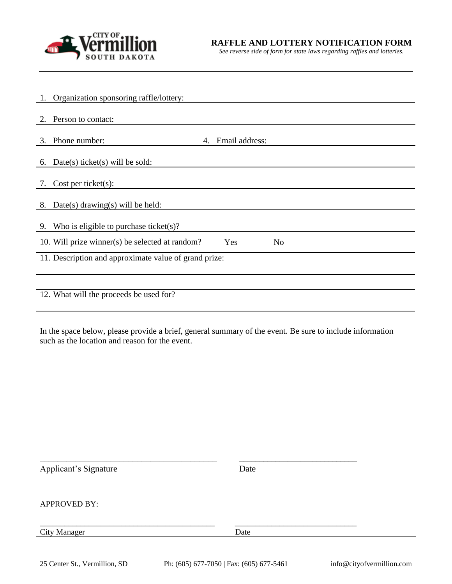

*See reverse side of form for state laws regarding raffles and lotteries.* 

|                                                       | 1. Organization sponsoring raffle/lottery:                               |  |  |
|-------------------------------------------------------|--------------------------------------------------------------------------|--|--|
|                                                       |                                                                          |  |  |
| 2.                                                    | Person to contact:                                                       |  |  |
|                                                       |                                                                          |  |  |
|                                                       | 4. Email address:<br>3. Phone number:                                    |  |  |
|                                                       |                                                                          |  |  |
| 6.                                                    | $Date(s)$ ticket $(s)$ will be sold:                                     |  |  |
|                                                       |                                                                          |  |  |
| $\gamma$ .                                            | Cost per ticket(s):                                                      |  |  |
|                                                       |                                                                          |  |  |
|                                                       | 8. Date(s) drawing(s) will be held:                                      |  |  |
|                                                       |                                                                          |  |  |
| 9.                                                    | Who is eligible to purchase ticket(s)?                                   |  |  |
|                                                       | 10. Will prize winner(s) be selected at random?<br>Yes<br>N <sub>o</sub> |  |  |
|                                                       |                                                                          |  |  |
| 11. Description and approximate value of grand prize: |                                                                          |  |  |
|                                                       |                                                                          |  |  |
|                                                       |                                                                          |  |  |
| 12. What will the proceeds be used for?               |                                                                          |  |  |
|                                                       |                                                                          |  |  |
|                                                       |                                                                          |  |  |

In the space below, please provide a brief, general summary of the event. Be sure to include information such as the location and reason for the event.

| <b>Applicant's Signature</b> | Date |
|------------------------------|------|
|                              |      |
| <b>APPROVED BY:</b>          |      |
| <b>City Manager</b>          | Date |
|                              |      |

\_\_\_\_\_\_\_\_\_\_\_\_\_\_\_\_\_\_\_\_\_\_\_\_\_\_\_\_\_\_\_\_\_\_\_\_\_\_\_\_ \_\_\_\_\_\_\_\_\_\_\_\_\_\_\_\_\_\_\_\_\_\_\_\_\_\_\_\_\_